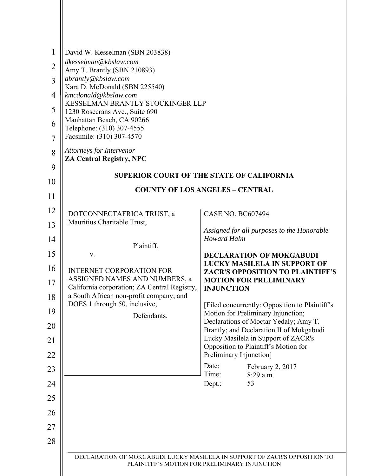| $\mathbf{1}$   | David W. Kesselman (SBN 203838)                                                         |                                                                                                                             |
|----------------|-----------------------------------------------------------------------------------------|-----------------------------------------------------------------------------------------------------------------------------|
| $\overline{2}$ | dkesselman@kbslaw.com<br>Amy T. Brantly (SBN 210893)                                    |                                                                                                                             |
| $\overline{3}$ | abrantly@kbslaw.com                                                                     |                                                                                                                             |
| 4              | Kara D. McDonald (SBN 225540)<br>kmcdonald@kbslaw.com                                   |                                                                                                                             |
| 5              | KESSELMAN BRANTLY STOCKINGER LLP<br>1230 Rosecrans Ave., Suite 690                      |                                                                                                                             |
| 6              | Manhattan Beach, CA 90266                                                               |                                                                                                                             |
| $\overline{7}$ | Telephone: (310) 307-4555<br>Facsimile: (310) 307-4570                                  |                                                                                                                             |
| 8              | Attorneys for Intervenor<br><b>ZA Central Registry, NPC</b>                             |                                                                                                                             |
| 9              |                                                                                         | <b>SUPERIOR COURT OF THE STATE OF CALIFORNIA</b>                                                                            |
| 10             |                                                                                         | <b>COUNTY OF LOS ANGELES - CENTRAL</b>                                                                                      |
| 11             |                                                                                         |                                                                                                                             |
| 12             | DOTCONNECTAFRICA TRUST, a                                                               | <b>CASE NO. BC607494</b>                                                                                                    |
| 13             | Mauritius Charitable Trust,                                                             | Assigned for all purposes to the Honorable                                                                                  |
| 14             | Plaintiff,                                                                              | <b>Howard Halm</b>                                                                                                          |
| 15             | ${\bf V}.$                                                                              | <b>DECLARATION OF MOKGABUDI</b><br><b>LUCKY MASILELA IN SUPPORT OF</b>                                                      |
| 16             | <b>INTERNET CORPORATION FOR</b><br>ASSIGNED NAMES AND NUMBERS, a                        | <b>ZACR'S OPPOSITION TO PLAINTIFF'S</b><br><b>MOTION FOR PRELIMINARY</b>                                                    |
| 17             | California corporation; ZA Central Registry,<br>a South African non-profit company; and | <b>INJUNCTION</b>                                                                                                           |
| 18             | DOES 1 through 50, inclusive,                                                           | [Filed concurrently: Opposition to Plaintiff's                                                                              |
| 19             | Defendants.                                                                             | Motion for Preliminary Injunction;<br>Declarations of Moctar Yedaly; Amy T.                                                 |
| 20             |                                                                                         | Brantly; and Declaration II of Mokgabudi<br>Lucky Masilela in Support of ZACR's                                             |
| 21<br>22       |                                                                                         | Opposition to Plaintiff's Motion for                                                                                        |
| 23             |                                                                                         | Preliminary Injunction]<br>Date:<br>February 2, 2017                                                                        |
| 24             |                                                                                         | Time:<br>8:29 a.m.<br>53                                                                                                    |
|                |                                                                                         | Dept.:                                                                                                                      |
| 25             |                                                                                         |                                                                                                                             |
| 26             |                                                                                         |                                                                                                                             |
| 27             |                                                                                         |                                                                                                                             |
| 28             |                                                                                         |                                                                                                                             |
|                |                                                                                         | DECLARATION OF MOKGABUDI LUCKY MASILELA IN SUPPORT OF ZACR'S OPPOSITION TO<br>PLAINITFF'S MOTION FOR PRELIMINARY INJUNCTION |
|                |                                                                                         |                                                                                                                             |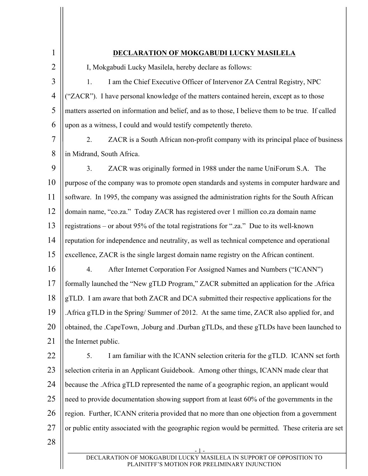| $\mathbf{1}$   | DECLARATION OF MOKGABUDI LUCKY MASILELA                                                                              |
|----------------|----------------------------------------------------------------------------------------------------------------------|
| $\overline{2}$ | I, Mokgabudi Lucky Masilela, hereby declare as follows:                                                              |
| 3              | I am the Chief Executive Officer of Intervenor ZA Central Registry, NPC<br>1.                                        |
| $\overline{4}$ | "ZACR"). I have personal knowledge of the matters contained herein, except as to those                               |
| 5              | matters asserted on information and belief, and as to those, I believe them to be true. If called                    |
| 6              | upon as a witness, I could and would testify competently thereto.                                                    |
| $\overline{7}$ | 2.<br>ZACR is a South African non-profit company with its principal place of business                                |
| 8              | in Midrand, South Africa.                                                                                            |
| 9              | 3 <sub>1</sub><br>ZACR was originally formed in 1988 under the name UniForum S.A. The                                |
| 10             | purpose of the company was to promote open standards and systems in computer hardware and                            |
| 11             | software. In 1995, the company was assigned the administration rights for the South African                          |
| 12             | domain name, "co.za." Today ZACR has registered over 1 million co.za domain name                                     |
| 13             | registrations – or about 95% of the total registrations for ".za." Due to its well-known                             |
| 14             | reputation for independence and neutrality, as well as technical competence and operational                          |
| 15             | excellence, ZACR is the single largest domain name registry on the African continent.                                |
| 16             | After Internet Corporation For Assigned Names and Numbers ("ICANN")<br>4.                                            |
| 17             | formally launched the "New gTLD Program," ZACR submitted an application for the .Africa                              |
| 18             | gTLD. I am aware that both ZACR and DCA submitted their respective applications for the                              |
| 19             | Africa gTLD in the Spring/Summer of 2012. At the same time, ZACR also applied for, and                               |
| 20             | obtained, the .CapeTown, .Joburg and .Durban gTLDs, and these gTLDs have been launched to                            |
| 21             | the Internet public.                                                                                                 |
| 22             | 5.<br>I am familiar with the ICANN selection criteria for the gTLD. ICANN set forth                                  |
| 23             | selection criteria in an Applicant Guidebook. Among other things, ICANN made clear that                              |
| 24             | because the .Africa gTLD represented the name of a geographic region, an applicant would                             |
| 25             | need to provide documentation showing support from at least 60% of the governments in the                            |
| 26             | region. Further, ICANN criteria provided that no more than one objection from a government                           |
| 27             | or public entity associated with the geographic region would be permitted. These criteria are set                    |
| 28             |                                                                                                                      |
|                | DECLARATION OF MOKGABUDI LUCKY MASILELA IN SUPPORT OF OPPOSITION TO<br>PLAINITFF'S MOTION FOR PRELIMINARY INJUNCTION |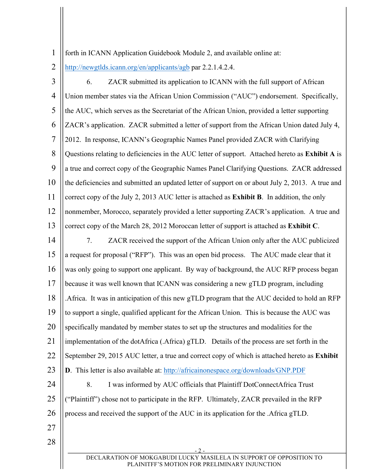1 forth in ICANN Application Guidebook Module 2, and available online at:

2 http://newgtlds.icann.org/en/applicants/agb par 2.2.1.4.2.4.

3 4 5 6 7 8 9 10 11 12 13 14 15 16 17 18 19 20 21 22 23 24 25 26 6. ZACR submitted its application to ICANN with the full support of African Union member states via the African Union Commission ("AUC") endorsement. Specifically, the AUC, which serves as the Secretariat of the African Union, provided a letter supporting ZACR's application. ZACR submitted a letter of support from the African Union dated July 4, 2012. In response, ICANN's Geographic Names Panel provided ZACR with Clarifying Questions relating to deficiencies in the AUC letter of support. Attached hereto as **Exhibit A** is a true and correct copy of the Geographic Names Panel Clarifying Questions. ZACR addressed the deficiencies and submitted an updated letter of support on or about July 2, 2013. A true and correct copy of the July 2, 2013 AUC letter is attached as **Exhibit B**. In addition, the only nonmember, Morocco, separately provided a letter supporting ZACR's application. A true and correct copy of the March 28, 2012 Moroccan letter of support is attached as **Exhibit C**. 7. ZACR received the support of the African Union only after the AUC publicized a request for proposal ("RFP"). This was an open bid process. The AUC made clear that it was only going to support one applicant. By way of background, the AUC RFP process began because it was well known that ICANN was considering a new gTLD program, including .Africa. It was in anticipation of this new gTLD program that the AUC decided to hold an RFP to support a single, qualified applicant for the African Union. This is because the AUC was specifically mandated by member states to set up the structures and modalities for the implementation of the dotAfrica (.Africa) gTLD. Details of the process are set forth in the September 29, 2015 AUC letter, a true and correct copy of which is attached hereto as **Exhibit D**. This letter is also available at: http://africainonespace.org/downloads/GNP.PDF 8. I was informed by AUC officials that Plaintiff DotConnectAfrica Trust ("Plaintiff") chose not to participate in the RFP. Ultimately, ZACR prevailed in the RFP process and received the support of the AUC in its application for the .Africa gTLD.

27 28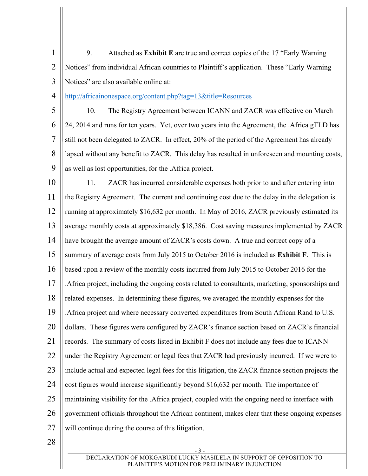1 2 3 9. Attached as **Exhibit E** are true and correct copies of the 17 "Early Warning Notices" from individual African countries to Plaintiff's application. These "Early Warning Notices" are also available online at:

4 http://africainonespace.org/content.php?tag=13&title=Resources

5 6 7 8 9 10. The Registry Agreement between ICANN and ZACR was effective on March 24, 2014 and runs for ten years. Yet, over two years into the Agreement, the .Africa gTLD has still not been delegated to ZACR. In effect, 20% of the period of the Agreement has already lapsed without any benefit to ZACR. This delay has resulted in unforeseen and mounting costs, as well as lost opportunities, for the .Africa project.

10 11 12 13 14 15 16 17 18 19 20 21 22 23 24 25 26 27 11. ZACR has incurred considerable expenses both prior to and after entering into the Registry Agreement. The current and continuing cost due to the delay in the delegation is running at approximately \$16,632 per month. In May of 2016, ZACR previously estimated its average monthly costs at approximately \$18,386. Cost saving measures implemented by ZACR have brought the average amount of ZACR's costs down. A true and correct copy of a summary of average costs from July 2015 to October 2016 is included as **Exhibit F**. This is based upon a review of the monthly costs incurred from July 2015 to October 2016 for the .Africa project, including the ongoing costs related to consultants, marketing, sponsorships and related expenses. In determining these figures, we averaged the monthly expenses for the .Africa project and where necessary converted expenditures from South African Rand to U.S. dollars. These figures were configured by ZACR's finance section based on ZACR's financial records. The summary of costs listed in Exhibit F does not include any fees due to ICANN under the Registry Agreement or legal fees that ZACR had previously incurred. If we were to include actual and expected legal fees for this litigation, the ZACR finance section projects the cost figures would increase significantly beyond \$16,632 per month. The importance of maintaining visibility for the .Africa project, coupled with the ongoing need to interface with government officials throughout the African continent, makes clear that these ongoing expenses will continue during the course of this litigation.

28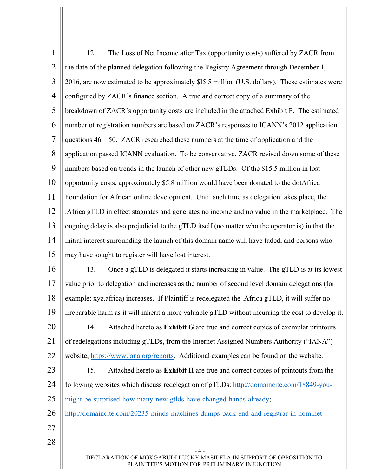| $\mathbf{1}$   | 12.<br>The Loss of Net Income after Tax (opportunity costs) suffered by ZACR from                              |  |  |
|----------------|----------------------------------------------------------------------------------------------------------------|--|--|
| $\overline{2}$ | the date of the planned delegation following the Registry Agreement through December 1,                        |  |  |
| 3              | 2016, are now estimated to be approximately \$15.5 million (U.S. dollars). These estimates were                |  |  |
| $\overline{4}$ | configured by ZACR's finance section. A true and correct copy of a summary of the                              |  |  |
| 5              | breakdown of ZACR's opportunity costs are included in the attached Exhibit F. The estimated                    |  |  |
| 6              | number of registration numbers are based on ZACR's responses to ICANN's 2012 application                       |  |  |
| $\overline{7}$ | questions $46 - 50$ . ZACR researched these numbers at the time of application and the                         |  |  |
| 8              | application passed ICANN evaluation. To be conservative, ZACR revised down some of these                       |  |  |
| 9              | numbers based on trends in the launch of other new gTLDs. Of the \$15.5 million in lost                        |  |  |
| 10             | opportunity costs, approximately \$5.8 million would have been donated to the dotAfrica                        |  |  |
| 11             | Foundation for African online development. Until such time as delegation takes place, the                      |  |  |
| 12             | Africa gTLD in effect stagnates and generates no income and no value in the marketplace. The                   |  |  |
| 13             | ongoing delay is also prejudicial to the gTLD itself (no matter who the operator is) in that the               |  |  |
| 14             | initial interest surrounding the launch of this domain name will have faded, and persons who                   |  |  |
| 15             | may have sought to register will have lost interest.                                                           |  |  |
| 16             | Once a gTLD is delegated it starts increasing in value. The gTLD is at its lowest<br>13.                       |  |  |
| 17             | value prior to delegation and increases as the number of second level domain delegations (for                  |  |  |
| 18             | example: xyz.africa) increases. If Plaintiff is redelegated the .Africa gTLD, it will suffer no                |  |  |
| 19             | $\parallel$ irreparable harm as it will inherit a more valuable gTLD without incurring the cost to develop it. |  |  |
| 20             | Attached hereto as Exhibit G are true and correct copies of exemplar printouts<br>14.                          |  |  |
| 21             | of redelegations including gTLDs, from the Internet Assigned Numbers Authority ("IANA")                        |  |  |
| 22             | website, https://www.iana.org/reports. Additional examples can be found on the website.                        |  |  |
| 23             | Attached hereto as Exhibit H are true and correct copies of printouts from the<br>15.                          |  |  |
| 24             | following websites which discuss redelegation of gTLDs: http://domaincite.com/18849-you-                       |  |  |
| 25             | might-be-surprised-how-many-new-gtlds-have-changed-hands-already;                                              |  |  |
| 26             | http://domaincite.com/20235-minds-machines-dumps-back-end-and-registrar-in-nominet-                            |  |  |
| 27             |                                                                                                                |  |  |
| 28             | - 4                                                                                                            |  |  |
|                | DECLARATION OF MOKGABUDI LUCKY MASILELA IN SUPPORT OF OPPOSITION TO                                            |  |  |
|                | PLAINITFF'S MOTION FOR PRELIMINARY INJUNCTION                                                                  |  |  |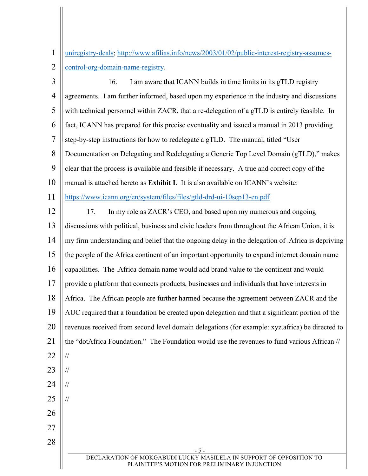1 2 uniregistry-deals; http://www.afilias.info/news/2003/01/02/public-interest-registry-assumescontrol-org-domain-name-registry.

- 5 - DECLARATION OF MOKGABUDI LUCKY MASILELA IN SUPPORT OF OPPOSITION TO PLAINITFF'S MOTION FOR PRELIMINARY INJUNCTION 3 4 5 6 7 8 9 10 11 12 13 14 15 16 17 18 19 20 21 22 23 24 25 26 27 28 16. I am aware that ICANN builds in time limits in its gTLD registry agreements. I am further informed, based upon my experience in the industry and discussions with technical personnel within ZACR, that a re-delegation of a gTLD is entirely feasible. In fact, ICANN has prepared for this precise eventuality and issued a manual in 2013 providing step-by-step instructions for how to redelegate a gTLD. The manual, titled "User Documentation on Delegating and Redelegating a Generic Top Level Domain (gTLD)," makes clear that the process is available and feasible if necessary. A true and correct copy of the manual is attached hereto as **Exhibit I**. It is also available on ICANN's website: https://www.icann.org/en/system/files/files/gtld-drd-ui-10sep13-en.pdf 17. In my role as ZACR's CEO, and based upon my numerous and ongoing discussions with political, business and civic leaders from throughout the African Union, it is my firm understanding and belief that the ongoing delay in the delegation of .Africa is depriving the people of the Africa continent of an important opportunity to expand internet domain name capabilities. The .Africa domain name would add brand value to the continent and would provide a platform that connects products, businesses and individuals that have interests in Africa. The African people are further harmed because the agreement between ZACR and the AUC required that a foundation be created upon delegation and that a significant portion of the revenues received from second level domain delegations (for example: xyz.africa) be directed to the "dotAfrica Foundation." The Foundation would use the revenues to fund various African // // // // //